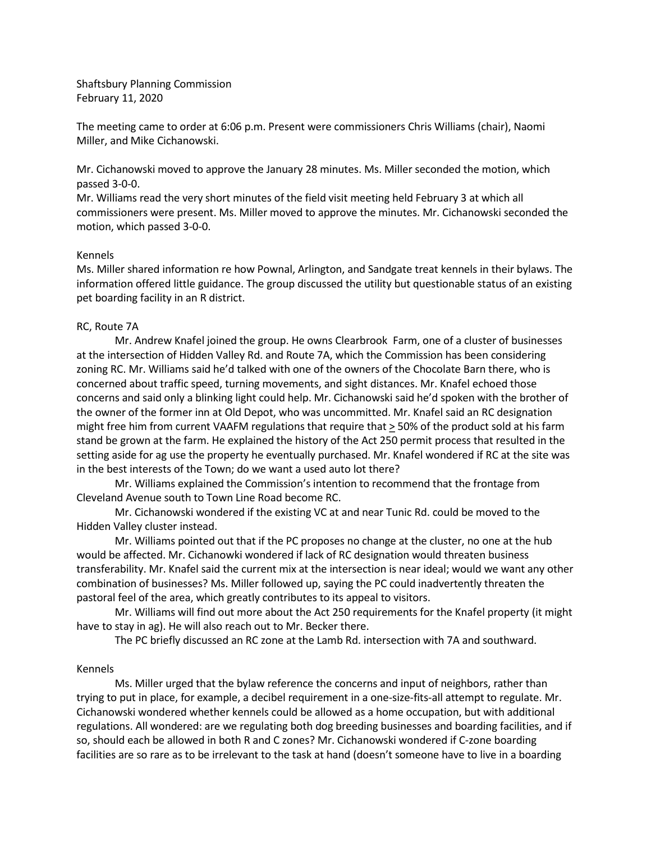Shaftsbury Planning Commission February 11, 2020

The meeting came to order at 6:06 p.m. Present were commissioners Chris Williams (chair), Naomi Miller, and Mike Cichanowski.

Mr. Cichanowski moved to approve the January 28 minutes. Ms. Miller seconded the motion, which passed 3-0-0.

Mr. Williams read the very short minutes of the field visit meeting held February 3 at which all commissioners were present. Ms. Miller moved to approve the minutes. Mr. Cichanowski seconded the motion, which passed 3-0-0.

## Kennels

Ms. Miller shared information re how Pownal, Arlington, and Sandgate treat kennels in their bylaws. The information offered little guidance. The group discussed the utility but questionable status of an existing pet boarding facility in an R district.

## RC, Route 7A

Mr. Andrew Knafel joined the group. He owns Clearbrook Farm, one of a cluster of businesses at the intersection of Hidden Valley Rd. and Route 7A, which the Commission has been considering zoning RC. Mr. Williams said he'd talked with one of the owners of the Chocolate Barn there, who is concerned about traffic speed, turning movements, and sight distances. Mr. Knafel echoed those concerns and said only a blinking light could help. Mr. Cichanowski said he'd spoken with the brother of the owner of the former inn at Old Depot, who was uncommitted. Mr. Knafel said an RC designation might free him from current VAAFM regulations that require that > 50% of the product sold at his farm stand be grown at the farm. He explained the history of the Act 250 permit process that resulted in the setting aside for ag use the property he eventually purchased. Mr. Knafel wondered if RC at the site was in the best interests of the Town; do we want a used auto lot there?

Mr. Williams explained the Commission's intention to recommend that the frontage from Cleveland Avenue south to Town Line Road become RC.

Mr. Cichanowski wondered if the existing VC at and near Tunic Rd. could be moved to the Hidden Valley cluster instead.

Mr. Williams pointed out that if the PC proposes no change at the cluster, no one at the hub would be affected. Mr. Cichanowki wondered if lack of RC designation would threaten business transferability. Mr. Knafel said the current mix at the intersection is near ideal; would we want any other combination of businesses? Ms. Miller followed up, saying the PC could inadvertently threaten the pastoral feel of the area, which greatly contributes to its appeal to visitors.

Mr. Williams will find out more about the Act 250 requirements for the Knafel property (it might have to stay in ag). He will also reach out to Mr. Becker there.

The PC briefly discussed an RC zone at the Lamb Rd. intersection with 7A and southward.

## Kennels

Ms. Miller urged that the bylaw reference the concerns and input of neighbors, rather than trying to put in place, for example, a decibel requirement in a one-size-fits-all attempt to regulate. Mr. Cichanowski wondered whether kennels could be allowed as a home occupation, but with additional regulations. All wondered: are we regulating both dog breeding businesses and boarding facilities, and if so, should each be allowed in both R and C zones? Mr. Cichanowski wondered if C-zone boarding facilities are so rare as to be irrelevant to the task at hand (doesn't someone have to live in a boarding